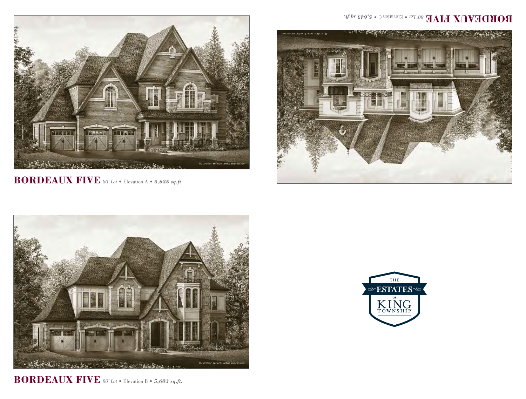

**BORDEAUX FIVE** *80' Lot* • Elevation A • *5,635 sq.ft.*



**BORDEAUX FIVE** *80' Lot* • Elevation B • *5,603 sq.ft.*

## **BORDEVAN FIVE 80' Lot Blevation C** • 5,645 sq.ft.